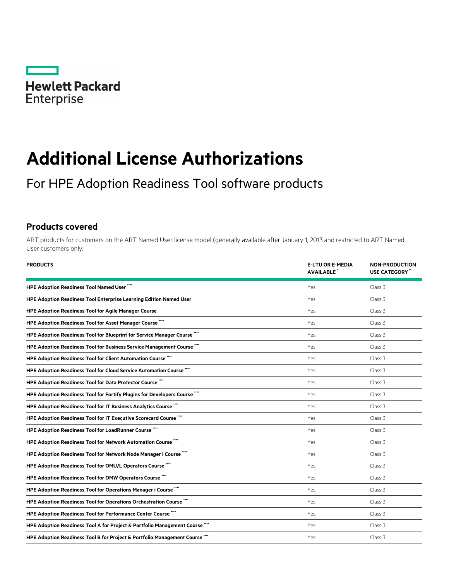

# **Additional License Authorizations**

For HPE Adoption Readiness Tool software products

## **Products covered**

ART products for customers on the ART Named User license model (generally available after January 1, 2013 and restricted to ART Named User customers only:

| <b>PRODUCTS</b>                                                            | <b>E-LTU OR E-MEDIA</b><br><b>AVAILABLE</b> | <b>NON-PRODUCTION</b><br>USE CATEGORY" |
|----------------------------------------------------------------------------|---------------------------------------------|----------------------------------------|
| <b>HPE Adoption Readiness Tool Named User ""</b>                           | Yes                                         | Class 3                                |
| HPE Adoption Readiness Tool Enterprise Learning Edition Named User         | Yes                                         | Class 3                                |
| <b>HPE Adoption Readiness Tool for Agile Manager Course</b>                | Yes                                         | Class 3                                |
| HPE Adoption Readiness Tool for Asset Manager Course                       | Yes                                         | Class 3                                |
| HPE Adoption Readiness Tool for Blueprint for Service Manager Course ""    | Yes                                         | Class 3                                |
| HPE Adoption Readiness Tool for Business Service Management Course ""      | Yes                                         | Class 3                                |
| HPE Adoption Readiness Tool for Client Automation Course ""                | Yes                                         | Class 3                                |
| HPE Adoption Readiness Tool for Cloud Service Automation Course ""         | Yes                                         | Class 3                                |
| HPE Adoption Readiness Tool for Data Protector Course ""                   | Yes                                         | Class 3                                |
| HPE Adoption Readiness Tool for Fortify Plugins for Developers Course ""   | Yes                                         | Class 3                                |
| HPE Adoption Readiness Tool for IT Business Analytics Course ""            | Yes                                         | Class 3                                |
| HPE Adoption Readiness Tool for IT Executive Scorecard Course ""           | Yes                                         | Class 3                                |
| HPE Adoption Readiness Tool for LoadRunner Course ""                       | Yes                                         | Class 3                                |
| HPE Adoption Readiness Tool for Network Automation Course ""               | Yes                                         | Class 3                                |
| HPE Adoption Readiness Tool for Network Node Manager i Course ""           | Yes                                         | Class 3                                |
| HPE Adoption Readiness Tool for OMU/L Operators Course ""                  | Yes                                         | Class 3                                |
| HPE Adoption Readiness Tool for OMW Operators Course ""                    | Yes                                         | Class 3                                |
| HPE Adoption Readiness Tool for Operations Manager i Course ""             | Yes                                         | Class 3                                |
| HPE Adoption Readiness Tool for Operations Orchestration Course ""         | Yes                                         | Class 3                                |
| HPE Adoption Readiness Tool for Performance Center Course ""               | Yes                                         | Class 3                                |
| HPE Adoption Readiness Tool A for Project & Portfolio Management Course "" | Yes                                         | Class 3                                |
| HPE Adoption Readiness Tool B for Project & Portfolio Management Course "" | Yes                                         | Class 3                                |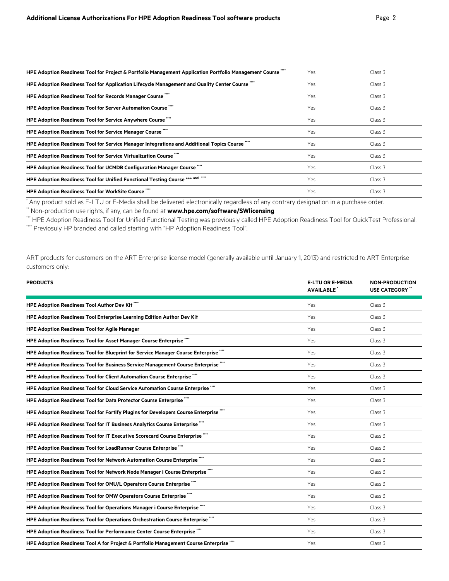| HPE Adoption Readiness Tool for Project & Portfolio Management Application Portfolio Management Course | Yes | Class 3 |
|--------------------------------------------------------------------------------------------------------|-----|---------|
| HPE Adoption Readiness Tool for Application Lifecycle Management and Quality Center Course             | Yes | Class 3 |
| <b>HPE Adoption Readiness Tool for Records Manager Course</b>                                          | Yes | Class 3 |
| <b>HPE Adoption Readiness Tool for Server Automation Course</b>                                        | Yes | Class 3 |
| <b>HPE Adoption Readiness Tool for Service Anywhere Course</b>                                         | Yes | Class 3 |
| <b>HPE Adoption Readiness Tool for Service Manager Course</b>                                          | Yes | Class 3 |
| HPE Adoption Readiness Tool for Service Manager Integrations and Additional Topics Course              | Yes | Class 3 |
| HPE Adoption Readiness Tool for Service Virtualization Course                                          | Yes | Class 3 |
| HPE Adoption Readiness Tool for UCMDB Configuration Manager Course                                     | Yes | Class 3 |
| HPE Adoption Readiness Tool for Unified Functional Testing Course *** and ""                           | Yes | Class 3 |
| HPE Adoption Readiness Tool for WorkSite Course                                                        | Yes | Class 3 |

\* Any product sold as E-LTU or E-Media shall be delivered electronically regardless of any contrary designation in a purchase order.

\*\* Non-production use rights, if any, can be found at **[www.hpe.com/software/SWlicensing](http://www.hpe.com/software/SWlicensing)**.

\*\*\* HPE Adoption Readiness Tool for Unified Functional Testing was previously called HPE Adoption Readiness Tool for QuickTest Professional. \*\*\*\* Previosuly HP branded and called starting with "HP Adoption Readiness Tool".

ART products for customers on the ART Enterprise license model (generally available until January 1, 2013) and restricted to ART Enterprise customers only:

| <b>PRODUCTS</b>                                                                       | <b>E-LTU OR E-MEDIA</b><br><b>AVAILABLE</b> | <b>NON-PRODUCTION</b><br>USE CATEGORY " |
|---------------------------------------------------------------------------------------|---------------------------------------------|-----------------------------------------|
| HPE Adoption Readiness Tool Author Dev Kit ""                                         | Yes                                         | Class 3                                 |
| HPE Adoption Readiness Tool Enterprise Learning Edition Author Dev Kit                | Yes                                         | Class 3                                 |
| <b>HPE Adoption Readiness Tool for Agile Manager</b>                                  | Yes                                         | Class 3                                 |
| HPE Adoption Readiness Tool for Asset Manager Course Enterprise ""                    | Yes                                         | Class 3                                 |
| HPE Adoption Readiness Tool for Blueprint for Service Manager Course Enterprise "     | Yes                                         | Class 3                                 |
| HPE Adoption Readiness Tool for Business Service Management Course Enterprise ""      | Yes                                         | Class 3                                 |
| HPE Adoption Readiness Tool for Client Automation Course Enterprise ""                | Yes                                         | Class 3                                 |
| HPE Adoption Readiness Tool for Cloud Service Automation Course Enterprise ""         | Yes                                         | Class 3                                 |
| HPE Adoption Readiness Tool for Data Protector Course Enterprise ""                   | Yes                                         | Class 3                                 |
| HPE Adoption Readiness Tool for Fortify Plugins for Developers Course Enterprise ""   | Yes                                         | Class 3                                 |
| HPE Adoption Readiness Tool for IT Business Analytics Course Enterprise ""            | Yes                                         | Class 3                                 |
| HPE Adoption Readiness Tool for IT Executive Scorecard Course Enterprise ""           | Yes                                         | Class 3                                 |
| HPE Adoption Readiness Tool for LoadRunner Course Enterprise ""                       | Yes                                         | Class 3                                 |
| HPE Adoption Readiness Tool for Network Automation Course Enterprise ""               | Yes                                         | Class 3                                 |
| HPE Adoption Readiness Tool for Network Node Manager i Course Enterprise ""           | Yes                                         | Class 3                                 |
| HPE Adoption Readiness Tool for OMU/L Operators Course Enterprise ""                  | Yes                                         | Class 3                                 |
| HPE Adoption Readiness Tool for OMW Operators Course Enterprise ""                    | Yes                                         | Class 3                                 |
| HPE Adoption Readiness Tool for Operations Manager i Course Enterprise ""             | Yes                                         | Class 3                                 |
| HPE Adoption Readiness Tool for Operations Orchestration Course Enterprise ""         | Yes                                         | Class 3                                 |
| HPE Adoption Readiness Tool for Performance Center Course Enterprise ""               | Yes                                         | Class 3                                 |
| HPE Adoption Readiness Tool A for Project & Portfolio Management Course Enterprise "" | Yes                                         | Class 3                                 |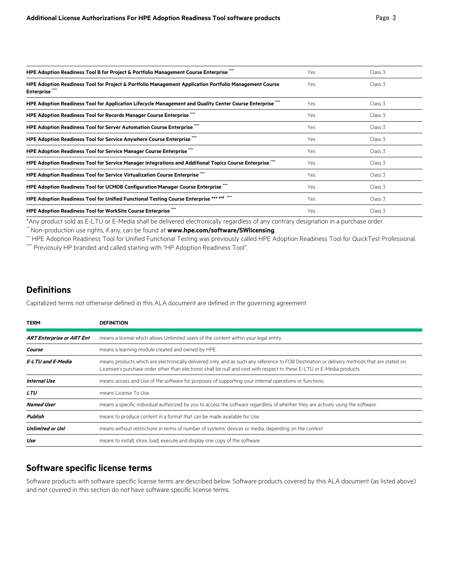| HPE Adoption Readiness Tool B for Project & Portfolio Management Course Enterprise                                    | Yes        | Class 3 |
|-----------------------------------------------------------------------------------------------------------------------|------------|---------|
| HPE Adoption Readiness Tool for Project & Portfolio Management Application Portfolio Management Course<br>Enterprise" | Yes.       | Class 3 |
| HPE Adoption Readiness Tool for Application Lifecycle Management and Quality Center Course Enterprise                 | Yes        | Class 3 |
| HPE Adoption Readiness Tool for Records Manager Course Enterprise ""                                                  | Yes.       | Class 3 |
| HPE Adoption Readiness Tool for Server Automation Course Enterprise ""                                                | Yes        | Class 3 |
| HPE Adoption Readiness Tool for Service Anywhere Course Enterprise ""                                                 | Yes.       | Class 3 |
| <b>HPE Adoption Readiness Tool for Service Manager Course Enterprise</b>                                              | Yes        | Class 3 |
| HPE Adoption Readiness Tool for Service Manager Integrations and Additional Topics Course Enterprise                  | Yes.       | Class 3 |
| HPE Adoption Readiness Tool for Service Virtualization Course Enterprise ""                                           | Yes.       | Class 3 |
| HPE Adoption Readiness Tool for UCMDB Configuration Manager Course Enterprise                                         | Yes        | Class 3 |
| HPE Adoption Readiness Tool for Unified Functional Testing Course Enterprise *** and ""                               | <b>Yes</b> | Class 3 |
| HPE Adoption Readiness Tool for WorkSite Course Enterprise"                                                           | Yes        | Class 3 |

\*Any product sold as E-LTU or E-Media shall be delivered electronically regardless of any contrary designation in a purchase order.

\*\* Non-production use rights, if any, can be found at **[www.hpe.com/software/SWlicensing](http://www.hpe.com/software/SWlicensing)**.

\*\*\* HPE Adoption Readiness Tool for Unified Functional Testing was previously called HPE Adoption Readiness Tool for QuickTest Professional. \*\*\*\* Previosuly HP branded and called starting with "HP Adoption Readiness Tool".

# **Definitions**

Capitalized terms not otherwise defined in this ALA document are defined in the governing agreement.

| <b>TERM</b>                      | <b>DEFINITION</b>                                                                                                                                                                                                                                                      |
|----------------------------------|------------------------------------------------------------------------------------------------------------------------------------------------------------------------------------------------------------------------------------------------------------------------|
| <b>ART Enterprise or ART Ent</b> | means a license which allows Unlimited users of the content within your legal entity.                                                                                                                                                                                  |
| Course                           | means a learning module created and owned by HPE.                                                                                                                                                                                                                      |
| E-LTU and E-Media                | means products which are electronically delivered only, and as such any reference to FOB Destination or delivery methods that are stated on<br>Licensee's purchase order other than electronic shall be null and void with respect to these E-LTU or E-Media products. |
| <b>Internal Use</b>              | means access and Use of the software for purposes of supporting your internal operations or functions.                                                                                                                                                                 |
| <b>LTU</b>                       | means License To Use.                                                                                                                                                                                                                                                  |
| <b>Named User</b>                | means a specific individual authorized by you to access the software regardless of whether they are actively using the software.                                                                                                                                       |
| Publish                          | means to produce content in a format that can be made available for Use.                                                                                                                                                                                               |
| <b>Unlimited or Unl</b>          | means without restrictions in terms of number of systems, devices or media, depending on the context.                                                                                                                                                                  |
| Use                              | means to install, store, load, execute and display one copy of the software.                                                                                                                                                                                           |

# **Software specific license terms**

Software products with software specific license terms are described below. Software products covered by this ALA document (as listed above) and not covered in this section do not have software specific license terms.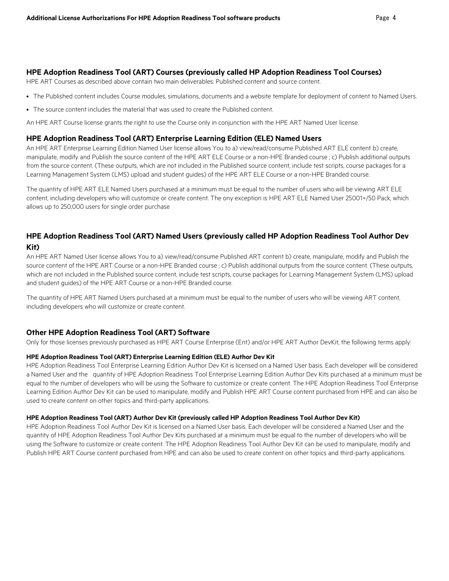## **HPE Adoption Readiness Tool (ART) Courses (previously called HP Adoption Readiness Tool Courses)**

HPE ART Courses as described above contain two main deliverables: Published content and source content.

- The Published content includes Course modules, simulations, documents and a website template for deployment of content to Named Users.
- The source content includes the material that was used to create the Published content.

An HPE ART Course license grants the right to use the Course only in conjunction with the HPE ART Named User license.

## **HPE Adoption Readiness Tool (ART) Enterprise Learning Edition (ELE) Named Users**

An HPE ART Enterprise Learning Edition Named User license allows You to a) view/read/consume Published ART ELE content b) create, manipulate, modify and Publish the source content of the HPE ART ELE Course or a non-HPE Branded course ; c) Publish additional outputs from the source content. (These outputs, which are not included in the Published source content, include test scripts, course packages for a Learning Management System (LMS) upload and student guides) of the HPE ART ELE Course or a non-HPE Branded course.

The quantity of HPE ART ELE Named Users purchased at a minimum must be equal to the number of users who will be viewing ART ELE content, including developers who will customize or create content. The ony exception is HPE ART ELE Named User 25001+/50 Pack, which allows up to 250,000 users for single order purchase

## **HPE Adoption Readiness Tool (ART) Named Users (previously called HP Adoption Readiness Tool Author Dev Kit)**

An HPE ART Named User license allows You to a) view/read/consume Published ART content b) create, manipulate, modify and Publish the source content of the HPE ART Course or a non-HPE Branded course ; c) Publish additional outputs from the source content. (These outputs, which are not included in the Published source content, include test scripts, course packages for Learning Management System (LMS) upload and student guides) of the HPE ART Course or a non-HPE Branded course.

The quantity of HPE ART Named Users purchased at a minimum must be equal to the number of users who will be viewing ART content, including developers who will customize or create content.

## **Other HPE Adoption Readiness Tool (ART) Software**

Only for those licenses previously purchased as HPE ART Course Enterprise (Ent) and/or HPE ART Author DevKit, the following terms apply:

#### **HPE Adoption Readiness Tool (ART) Enterprise Learning Edition (ELE) Author Dev Kit**

HPE Adoption Readiness Tool Enterprise Learning Edition Author Dev Kit is licensed on a Named User basis. Each developer will be considered a Named User and the quantity of HPE Adoption Readiness Tool Enterprise Learning Edition Author Dev Kits purchased at a minimum must be equal to the number of developers who will be using the Software to customize or create content. The HPE Adoption Readiness Tool Enterprise Learning Edition Author Dev Kit can be used to manipulate, modify and Publish HPE ART Course content purchased from HPE and can also be used to create content on other topics and third-party applications.

#### **HPE Adoption Readiness Tool (ART) Author Dev Kit (previously called HP Adoption Readiness Tool Author Dev Kit)**

HPE Adoption Readiness Tool Author Dev Kit is licensed on a Named User basis. Each developer will be considered a Named User and the quantity of HPE Adoption Readiness Tool Author Dev Kits purchased at a minimum must be equal to the number of developers who will be using the Software to customize or create content. The HPE Adoption Readiness Tool Author Dev Kit can be used to manipulate, modify and Publish HPE ART Course content purchased from HPE and can also be used to create content on other topics and third-party applications.